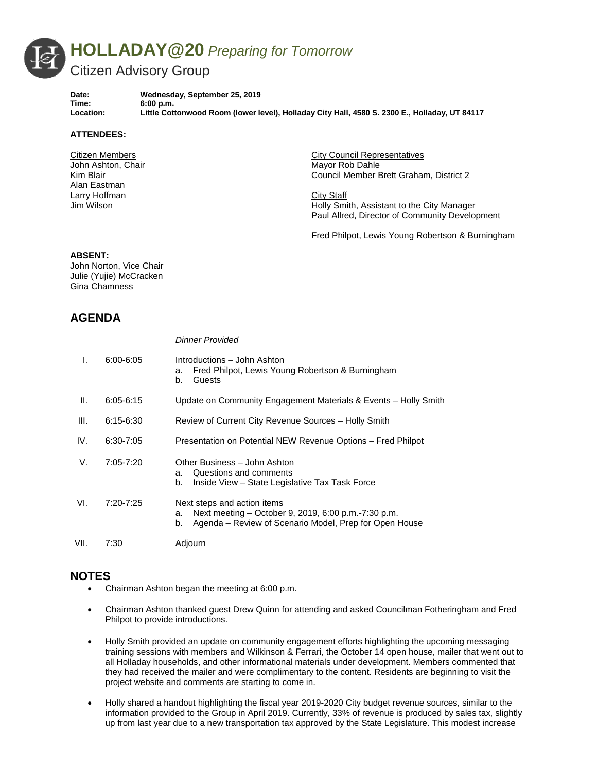

**Date: Wednesday, September 25, 2019 Time: 6:00 p.m. Location: Little Cottonwood Room (lower level), Holladay City Hall, 4580 S. 2300 E., Holladay, UT 84117**

#### **ATTENDEES:**

Citizen Members John Ashton, Chair Kim Blair Alan Eastman Larry Hoffman Jim Wilson

City Council Representatives Mayor Rob Dahle Council Member Brett Graham, District 2

City Staff Holly Smith, Assistant to the City Manager Paul Allred, Director of Community Development

Fred Philpot, Lewis Young Robertson & Burningham

#### **ABSENT:**

John Norton, Vice Chair Julie (Yujie) McCracken Gina Chamness

## **AGENDA**

| I.   | $6:00 - 6:05$ | Introductions – John Ashton<br>Fred Philpot, Lewis Young Robertson & Burningham<br>a.<br>Guests<br>b.                                                    |
|------|---------------|----------------------------------------------------------------------------------------------------------------------------------------------------------|
| Ш.   | $6:05 - 6:15$ | Update on Community Engagement Materials & Events - Holly Smith                                                                                          |
| III. | $6:15-6:30$   | Review of Current City Revenue Sources - Holly Smith                                                                                                     |
| IV.  | 6:30-7:05     | Presentation on Potential NEW Revenue Options - Fred Philpot                                                                                             |
| V.   | $7:05 - 7:20$ | Other Business - John Ashton<br>Questions and comments<br>a.<br>Inside View – State Legislative Tax Task Force<br>b.                                     |
| VI.  | 7:20-7:25     | Next steps and action items<br>Next meeting – October 9, 2019, 6:00 p.m.-7:30 p.m.<br>a.<br>Agenda – Review of Scenario Model, Prep for Open House<br>b. |
| VII. | 7:30          | Adjourn                                                                                                                                                  |

### **NOTES**

• Chairman Ashton began the meeting at 6:00 p.m.

*Dinner Provided*

- Chairman Ashton thanked guest Drew Quinn for attending and asked Councilman Fotheringham and Fred Philpot to provide introductions.
- Holly Smith provided an update on community engagement efforts highlighting the upcoming messaging training sessions with members and Wilkinson & Ferrari, the October 14 open house, mailer that went out to all Holladay households, and other informational materials under development. Members commented that they had received the mailer and were complimentary to the content. Residents are beginning to visit the project website and comments are starting to come in.
- Holly shared a handout highlighting the fiscal year 2019-2020 City budget revenue sources, similar to the information provided to the Group in April 2019. Currently, 33% of revenue is produced by sales tax, slightly up from last year due to a new transportation tax approved by the State Legislature. This modest increase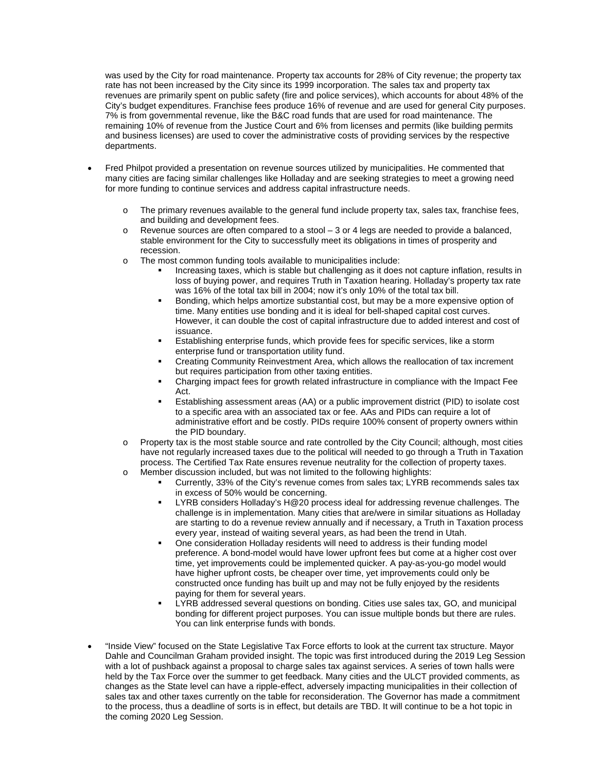was used by the City for road maintenance. Property tax accounts for 28% of City revenue; the property tax rate has not been increased by the City since its 1999 incorporation. The sales tax and property tax revenues are primarily spent on public safety (fire and police services), which accounts for about 48% of the City's budget expenditures. Franchise fees produce 16% of revenue and are used for general City purposes. 7% is from governmental revenue, like the B&C road funds that are used for road maintenance. The remaining 10% of revenue from the Justice Court and 6% from licenses and permits (like building permits and business licenses) are used to cover the administrative costs of providing services by the respective departments.

- Fred Philpot provided a presentation on revenue sources utilized by municipalities. He commented that many cities are facing similar challenges like Holladay and are seeking strategies to meet a growing need for more funding to continue services and address capital infrastructure needs.
	- o The primary revenues available to the general fund include property tax, sales tax, franchise fees, and building and development fees.
	- o Revenue sources are often compared to a stool 3 or 4 legs are needed to provide a balanced, stable environment for the City to successfully meet its obligations in times of prosperity and recession.
	- o The most common funding tools available to municipalities include:
		- Increasing taxes, which is stable but challenging as it does not capture inflation, results in loss of buying power, and requires Truth in Taxation hearing. Holladay's property tax rate was 16% of the total tax bill in 2004; now it's only 10% of the total tax bill.
		- Bonding, which helps amortize substantial cost, but may be a more expensive option of time. Many entities use bonding and it is ideal for bell-shaped capital cost curves. However, it can double the cost of capital infrastructure due to added interest and cost of issuance.
		- Establishing enterprise funds, which provide fees for specific services, like a storm enterprise fund or transportation utility fund.
		- Creating Community Reinvestment Area, which allows the reallocation of tax increment but requires participation from other taxing entities.
		- Charging impact fees for growth related infrastructure in compliance with the Impact Fee Act.
		- Establishing assessment areas (AA) or a public improvement district (PID) to isolate cost to a specific area with an associated tax or fee. AAs and PIDs can require a lot of administrative effort and be costly. PIDs require 100% consent of property owners within the PID boundary.
	- $\circ$  Property tax is the most stable source and rate controlled by the City Council; although, most cities have not regularly increased taxes due to the political will needed to go through a Truth in Taxation process. The Certified Tax Rate ensures revenue neutrality for the collection of property taxes.
	- o Member discussion included, but was not limited to the following highlights:
		- Currently, 33% of the City's revenue comes from sales tax; LYRB recommends sales tax in excess of 50% would be concerning.
		- LYRB considers Holladay's H@20 process ideal for addressing revenue challenges. The challenge is in implementation. Many cities that are/were in similar situations as Holladay are starting to do a revenue review annually and if necessary, a Truth in Taxation process every year, instead of waiting several years, as had been the trend in Utah.
		- One consideration Holladay residents will need to address is their funding model preference. A bond-model would have lower upfront fees but come at a higher cost over time, yet improvements could be implemented quicker. A pay-as-you-go model would have higher upfront costs, be cheaper over time, yet improvements could only be constructed once funding has built up and may not be fully enjoyed by the residents paying for them for several years.
		- LYRB addressed several questions on bonding. Cities use sales tax, GO, and municipal bonding for different project purposes. You can issue multiple bonds but there are rules. You can link enterprise funds with bonds.
- "Inside View" focused on the State Legislative Tax Force efforts to look at the current tax structure. Mayor Dahle and Councilman Graham provided insight. The topic was first introduced during the 2019 Leg Session with a lot of pushback against a proposal to charge sales tax against services. A series of town halls were held by the Tax Force over the summer to get feedback. Many cities and the ULCT provided comments, as changes as the State level can have a ripple-effect, adversely impacting municipalities in their collection of sales tax and other taxes currently on the table for reconsideration. The Governor has made a commitment to the process, thus a deadline of sorts is in effect, but details are TBD. It will continue to be a hot topic in the coming 2020 Leg Session.